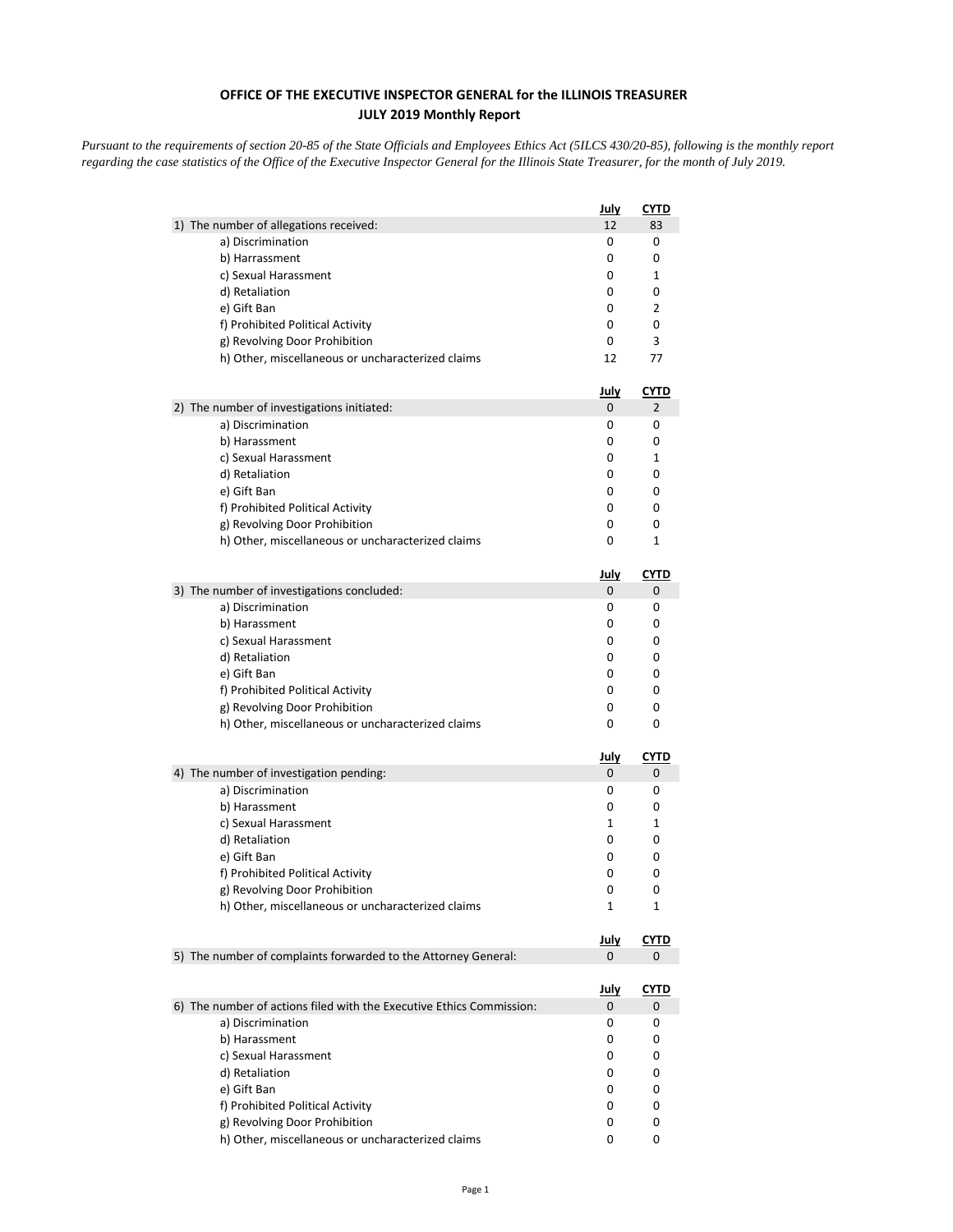## **OFFICE OF THE EXECUTIVE INSPECTOR GENERAL for the ILLINOIS TREASURER JULY 2019 Monthly Report**

*Pursuant to the requirements of section 20-85 of the State Officials and Employees Ethics Act (5ILCS 430/20-85), following is the monthly report regarding the case statistics of the Office of the Executive Inspector General for the Illinois State Treasurer, for the month of July 2019.* 

|                                                                      | <u>July</u> | <u>CYTD</u> |
|----------------------------------------------------------------------|-------------|-------------|
| 1) The number of allegations received:                               | 12          | 83          |
| a) Discrimination                                                    | 0           | 0           |
| b) Harrassment                                                       | 0           | 0           |
| c) Sexual Harassment                                                 | 0           | 1           |
| d) Retaliation                                                       | 0           | 0           |
| e) Gift Ban                                                          | 0           | 2           |
| f) Prohibited Political Activity                                     | 0           | 0           |
| g) Revolving Door Prohibition                                        | 0           | 3           |
| h) Other, miscellaneous or uncharacterized claims                    | 12          | 77          |
|                                                                      | <u>July</u> | <b>CYTD</b> |
| 2) The number of investigations initiated:                           | 0           | 2           |
| a) Discrimination                                                    | 0           | 0           |
| b) Harassment                                                        | 0           | 0           |
| c) Sexual Harassment                                                 | 0           | 1           |
| d) Retaliation                                                       | 0           | 0           |
| e) Gift Ban                                                          | 0           | 0           |
| f) Prohibited Political Activity                                     | 0           | 0           |
| g) Revolving Door Prohibition                                        | 0           | 0           |
| h) Other, miscellaneous or uncharacterized claims                    | 0           | 1           |
|                                                                      | <u>July</u> | CYTD        |
| 3) The number of investigations concluded:                           | 0           | 0           |
| a) Discrimination                                                    | 0           | 0           |
| b) Harassment                                                        | 0           | 0           |
| c) Sexual Harassment                                                 | 0           | 0           |
| d) Retaliation                                                       | 0           | 0           |
| e) Gift Ban                                                          | 0           | 0           |
| f) Prohibited Political Activity                                     | 0           | 0           |
| g) Revolving Door Prohibition                                        | 0           | 0           |
| h) Other, miscellaneous or uncharacterized claims                    | 0           | 0           |
|                                                                      | <u>July</u> | <u>CYTD</u> |
| 4) The number of investigation pending:                              | 0           | 0           |
| a) Discrimination                                                    | 0           | 0           |
| b) Harassment                                                        | 0           | 0           |
| c) Sexual Harassment                                                 | 1           | 1           |
| d) Retaliation                                                       | 0           | 0           |
| e) Gift Ban                                                          | 0           | 0           |
| f) Prohibited Political Activity                                     | 0           | 0           |
| g) Revolving Door Prohibition                                        | 0           | 0           |
| h) Other, miscellaneous or uncharacterized claims                    | 1           | 1           |
|                                                                      | <u>July</u> | <u>CYTD</u> |
| 5) The number of complaints forwarded to the Attorney General:       | 0           | 0           |
|                                                                      | <u>July</u> | <u>CYTD</u> |
| 6) The number of actions filed with the Executive Ethics Commission: | 0           | 0           |
| a) Discrimination                                                    | 0           | 0           |
| b) Harassment                                                        | 0           | 0           |
| c) Sexual Harassment                                                 | 0           | 0           |
| d) Retaliation                                                       | 0           | 0           |
| e) Gift Ban                                                          | 0           | 0           |
| f) Prohibited Political Activity                                     | 0           | 0           |
| g) Revolving Door Prohibition                                        | 0           | 0           |
| h) Other, miscellaneous or uncharacterized claims                    | 0           | 0           |